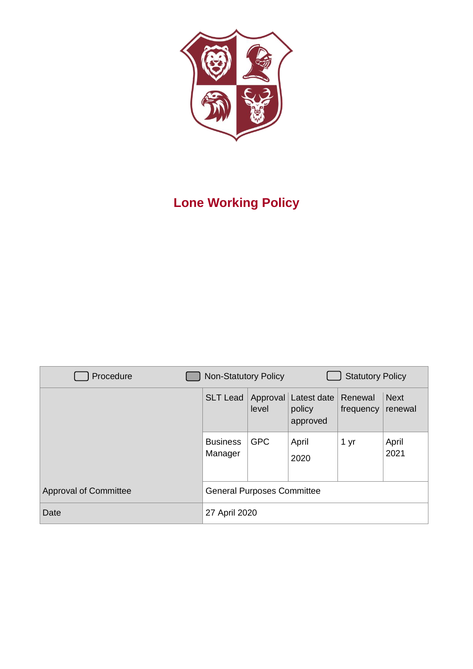

# **Lone Working Policy**

| Procedure                    | <b>Non-Statutory Policy</b>       |                   | <b>Statutory Policy</b>           |                      |                        |  |
|------------------------------|-----------------------------------|-------------------|-----------------------------------|----------------------|------------------------|--|
|                              | <b>SLT Lead</b>                   | Approval<br>level | Latest date<br>policy<br>approved | Renewal<br>frequency | <b>Next</b><br>renewal |  |
|                              | <b>Business</b><br>Manager        | <b>GPC</b>        | April<br>2020                     | 1 yr                 | April<br>2021          |  |
| <b>Approval of Committee</b> | <b>General Purposes Committee</b> |                   |                                   |                      |                        |  |
| Date                         | 27 April 2020                     |                   |                                   |                      |                        |  |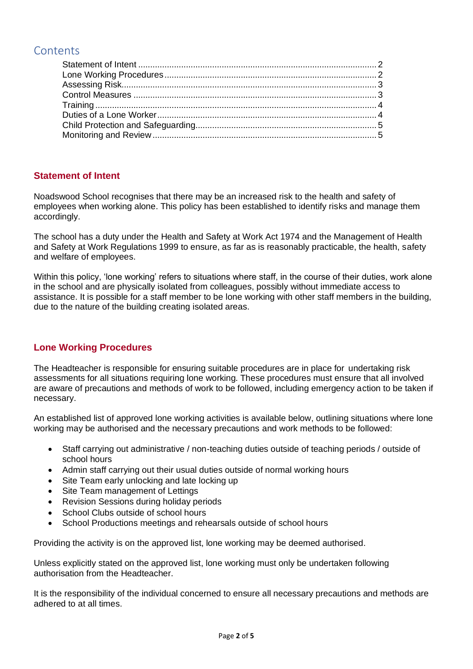# **Contents**

# <span id="page-1-0"></span>**Statement of Intent**

Noadswood School recognises that there may be an increased risk to the health and safety of employees when working alone. This policy has been established to identify risks and manage them accordingly.

The school has a duty under the Health and Safety at Work Act 1974 and the Management of Health and Safety at Work Regulations 1999 to ensure, as far as is reasonably practicable, the health, safety and welfare of employees.

Within this policy, 'lone working' refers to situations where staff, in the course of their duties, work alone in the school and are physically isolated from colleagues, possibly without immediate access to assistance. It is possible for a staff member to be lone working with other staff members in the building, due to the nature of the building creating isolated areas.

# <span id="page-1-1"></span>**Lone Working Procedures**

The Headteacher is responsible for ensuring suitable procedures are in place for undertaking risk assessments for all situations requiring lone working. These procedures must ensure that all involved are aware of precautions and methods of work to be followed, including emergency action to be taken if necessary.

An established list of approved lone working activities is available below, outlining situations where lone working may be authorised and the necessary precautions and work methods to be followed:

- Staff carrying out administrative / non-teaching duties outside of teaching periods / outside of school hours
- Admin staff carrying out their usual duties outside of normal working hours
- Site Team early unlocking and late locking up
- Site Team management of Lettings
- Revision Sessions during holiday periods
- School Clubs outside of school hours
- School Productions meetings and rehearsals outside of school hours

Providing the activity is on the approved list, lone working may be deemed authorised.

Unless explicitly stated on the approved list, lone working must only be undertaken following authorisation from the Headteacher.

It is the responsibility of the individual concerned to ensure all necessary precautions and methods are adhered to at all times.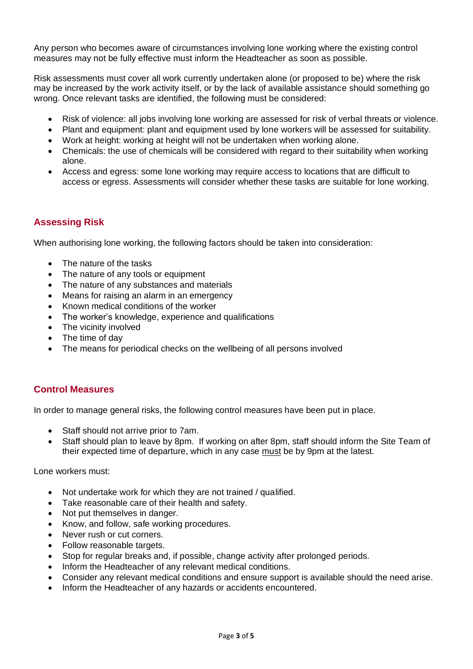Any person who becomes aware of circumstances involving lone working where the existing control measures may not be fully effective must inform the Headteacher as soon as possible.

Risk assessments must cover all work currently undertaken alone (or proposed to be) where the risk may be increased by the work activity itself, or by the lack of available assistance should something go wrong. Once relevant tasks are identified, the following must be considered:

- Risk of violence: all jobs involving lone working are assessed for risk of verbal threats or violence.
- Plant and equipment: plant and equipment used by lone workers will be assessed for suitability.
- Work at height: working at height will not be undertaken when working alone.
- Chemicals: the use of chemicals will be considered with regard to their suitability when working alone.
- Access and egress: some lone working may require access to locations that are difficult to access or egress. Assessments will consider whether these tasks are suitable for lone working.

### <span id="page-2-0"></span>**Assessing Risk**

When authorising lone working, the following factors should be taken into consideration:

- The nature of the tasks
- The nature of any tools or equipment
- The nature of any substances and materials
- Means for raising an alarm in an emergency
- Known medical conditions of the worker
- The worker's knowledge, experience and qualifications
- The vicinity involved
- The time of day
- The means for periodical checks on the wellbeing of all persons involved

#### <span id="page-2-1"></span>**Control Measures**

In order to manage general risks, the following control measures have been put in place.

- Staff should not arrive prior to 7am.
- Staff should plan to leave by 8pm. If working on after 8pm, staff should inform the Site Team of their expected time of departure, which in any case must be by 9pm at the latest.

Lone workers must:

- Not undertake work for which they are not trained / qualified.
- Take reasonable care of their health and safety.
- Not put themselves in danger.
- Know, and follow, safe working procedures.
- Never rush or cut corners.
- Follow reasonable targets.
- Stop for regular breaks and, if possible, change activity after prolonged periods.
- Inform the Headteacher of any relevant medical conditions.
- Consider any relevant medical conditions and ensure support is available should the need arise.
- Inform the Headteacher of any hazards or accidents encountered.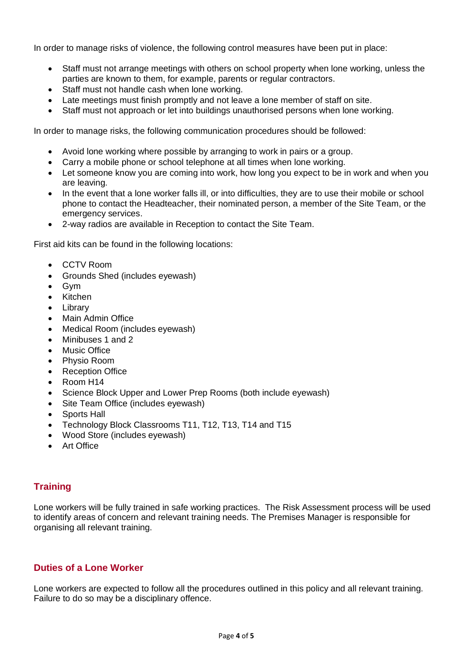In order to manage risks of violence, the following control measures have been put in place:

- Staff must not arrange meetings with others on school property when lone working, unless the parties are known to them, for example, parents or regular contractors.
- Staff must not handle cash when lone working.
- Late meetings must finish promptly and not leave a lone member of staff on site.
- Staff must not approach or let into buildings unauthorised persons when lone working.

In order to manage risks, the following communication procedures should be followed:

- Avoid lone working where possible by arranging to work in pairs or a group.
- Carry a mobile phone or school telephone at all times when lone working.
- Let someone know you are coming into work, how long you expect to be in work and when you are leaving.
- In the event that a lone worker falls ill, or into difficulties, they are to use their mobile or school phone to contact the Headteacher, their nominated person, a member of the Site Team, or the emergency services.
- 2-way radios are available in Reception to contact the Site Team.

First aid kits can be found in the following locations:

- CCTV Room
- Grounds Shed (includes eyewash)
- Gym
- Kitchen
- Library
- Main Admin Office
- Medical Room (includes eyewash)
- Minibuses 1 and 2
- **Music Office**
- Physio Room
- **Reception Office**
- Room H14
- Science Block Upper and Lower Prep Rooms (both include eyewash)
- Site Team Office (includes eyewash)
- Sports Hall
- Technology Block Classrooms T11, T12, T13, T14 and T15
- Wood Store (includes eyewash)
- Art Office

#### <span id="page-3-0"></span>**Training**

Lone workers will be fully trained in safe working practices. The Risk Assessment process will be used to identify areas of concern and relevant training needs. The Premises Manager is responsible for organising all relevant training.

#### <span id="page-3-1"></span>**Duties of a Lone Worker**

Lone workers are expected to follow all the procedures outlined in this policy and all relevant training. Failure to do so may be a disciplinary offence.